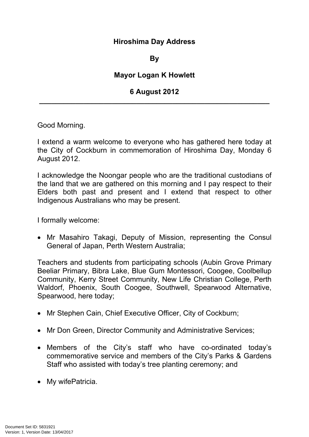## **Hiroshima Day Address**

## **By**

## **Mayor Logan K Howlett**

## **6 August 2012 \_\_\_\_\_\_\_\_\_\_\_\_\_\_\_\_\_\_\_\_\_\_\_\_\_\_\_\_\_\_\_\_\_\_\_\_\_\_\_\_\_\_\_\_\_\_\_\_\_\_\_\_\_\_\_\_\_**

Good Morning.

I extend a warm welcome to everyone who has gathered here today at the City of Cockburn in commemoration of Hiroshima Day, Monday 6 August 2012.

I acknowledge the Noongar people who are the traditional custodians of the land that we are gathered on this morning and I pay respect to their Elders both past and present and I extend that respect to other Indigenous Australians who may be present.

I formally welcome:

• Mr Masahiro Takagi, Deputy of Mission, representing the Consul General of Japan, Perth Western Australia;

Teachers and students from participating schools (Aubin Grove Primary Beeliar Primary, Bibra Lake, Blue Gum Montessori, Coogee, Coolbellup Community, Kerry Street Community, New Life Christian College, Perth Waldorf, Phoenix, South Coogee, Southwell, Spearwood Alternative, Spearwood, here today;

- Mr Stephen Cain, Chief Executive Officer, City of Cockburn;
- Mr Don Green, Director Community and Administrative Services;
- Members of the City's staff who have co-ordinated today's commemorative service and members of the City's Parks & Gardens Staff who assisted with today's tree planting ceremony; and
- My wifePatricia.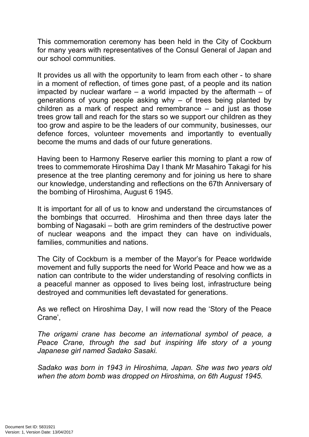This commemoration ceremony has been held in the City of Cockburn for many years with representatives of the Consul General of Japan and our school communities.

It provides us all with the opportunity to learn from each other - to share in a moment of reflection, of times gone past, of a people and its nation impacted by nuclear warfare  $-$  a world impacted by the aftermath  $-$  of generations of young people asking why – of trees being planted by children as a mark of respect and remembrance – and just as those trees grow tall and reach for the stars so we support our children as they too grow and aspire to be the leaders of our community, businesses, our defence forces, volunteer movements and importantly to eventually become the mums and dads of our future generations.

Having been to Harmony Reserve earlier this morning to plant a row of trees to commemorate Hiroshima Day I thank Mr Masahiro Takagi for his presence at the tree planting ceremony and for joining us here to share our knowledge, understanding and reflections on the 67th Anniversary of the bombing of Hiroshima, August 6 1945.

It is important for all of us to know and understand the circumstances of the bombings that occurred. Hiroshima and then three days later the bombing of Nagasaki – both are grim reminders of the destructive power of nuclear weapons and the impact they can have on individuals, families, communities and nations.

The City of Cockburn is a member of the Mayor's for Peace worldwide movement and fully supports the need for World Peace and how we as a nation can contribute to the wider understanding of resolving conflicts in a peaceful manner as opposed to lives being lost, infrastructure being destroyed and communities left devastated for generations.

As we reflect on Hiroshima Day, I will now read the 'Story of the Peace Crane',

*The origami crane has become an international symbol of peace, a Peace Crane, through the sad but inspiring life story of a young Japanese girl named Sadako Sasaki.*

*Sadako was born in 1943 in Hiroshima, Japan. She was two years old when the atom bomb was dropped on Hiroshima, on 6th August 1945.*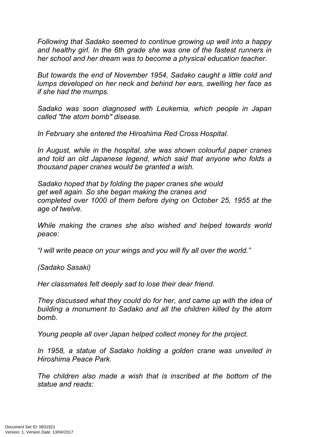*Following that Sadako seemed to continue growing up well into a happy and healthy girl. In the 6th grade she was one of the fastest runners in her school and her dream was to become a physical education teacher.*

*But towards the end of November 1954, Sadako caught a little cold and lumps developed on her neck and behind her ears, swelling her face as if she had the mumps.*

*Sadako was soon diagnosed with Leukemia, which people in Japan called "the atom bomb" disease.*

*In February she entered the Hiroshima Red Cross Hospital.*

*In August, while in the hospital, she was shown colourful paper cranes and told an old Japanese legend, which said that anyone who folds a thousand paper cranes would be granted a wish.*

*Sadako hoped that by folding the paper cranes she would get well again. So she began making the cranes and completed over 1000 of them before dying on October 25, 1955 at the age of twelve.*

*While making the cranes she also wished and helped towards world peace:*

*"I will write peace on your wings and you will fly all over the world."*

*(Sadako Sasaki)*

*Her classmates felt deeply sad to lose their dear friend.*

*They discussed what they could do for her, and came up with the idea of building a monument to Sadako and all the children killed by the atom bomb.*

*Young people all over Japan helped collect money for the project.*

*In 1958, a statue of Sadako holding a golden crane was unveiled in Hiroshima Peace Park.*

*The children also made a wish that is inscribed at the bottom of the statue and reads:*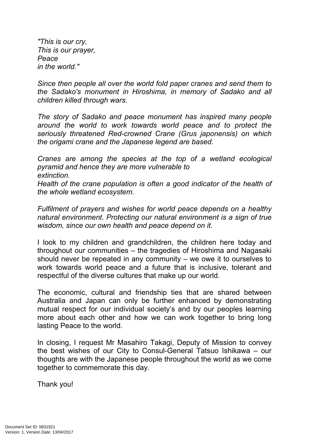*"This is our cry, This is our prayer, Peace in the world."*

*Since then people all over the world fold paper cranes and send them to the Sadako's monument in Hiroshima, in memory of Sadako and all children killed through wars.*

*The story of Sadako and peace monument has inspired many people around the world to work towards world peace and to protect the seriously threatened Red-crowned Crane (Grus japonensis) on which the origami crane and the Japanese legend are based.*

*Cranes are among the species at the top of a wetland ecological pyramid and hence they are more vulnerable to extinction.*

*Health of the crane population is often a good indicator of the health of the whole wetland ecosystem.*

*Fulfilment of prayers and wishes for world peace depends on a healthy natural environment. Protecting our natural environment is a sign of true wisdom, since our own health and peace depend on it.*

I look to my children and grandchildren, the children here today and throughout our communities – the tragedies of Hiroshima and Nagasaki should never be repeated in any community – we owe it to ourselves to work towards world peace and a future that is inclusive, tolerant and respectful of the diverse cultures that make up our world.

The economic, cultural and friendship ties that are shared between Australia and Japan can only be further enhanced by demonstrating mutual respect for our individual society's and by our peoples learning more about each other and how we can work together to bring long lasting Peace to the world.

In closing, I request Mr Masahiro Takagi, Deputy of Mission to convey the best wishes of our City to Consul-General Tatsuo Ishikawa – our thoughts are with the Japanese people throughout the world as we come together to commemorate this day.

Thank you!